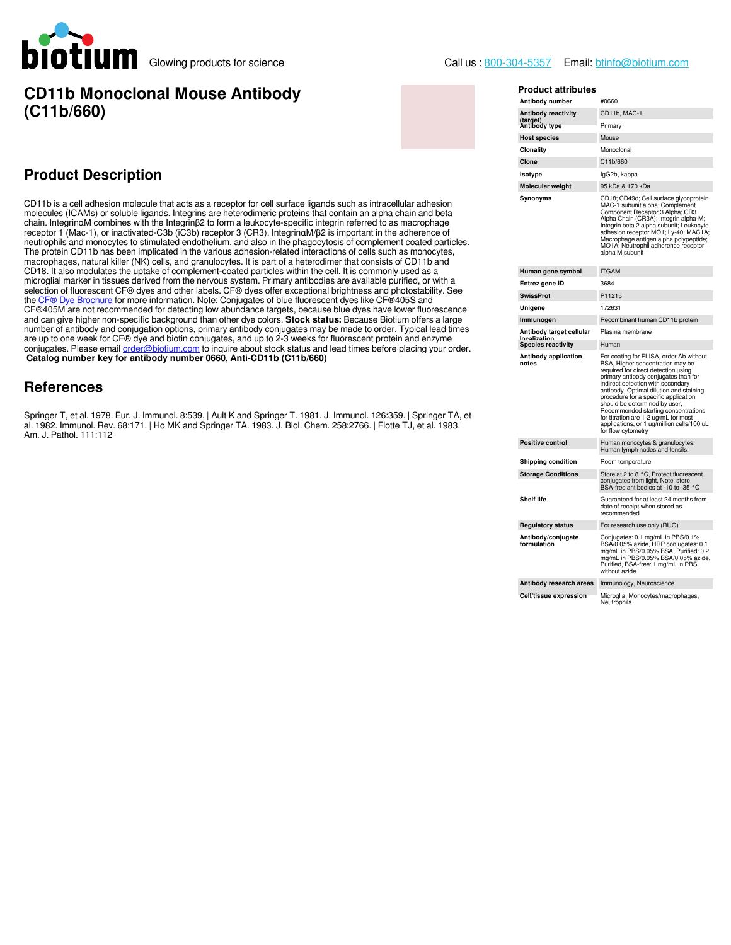

## **CD11b Monoclonal Mouse Antibody (C11b/660)**

## **Product Description**

CD11b is a cell adhesion molecule that acts as a receptor for cell surface ligands such as intracellular adhesion molecules (ICAMs) or soluble ligands. Integrins are heterodimeric proteins that contain an alpha chain and beta chain. IntegrinαM combines with the Integrinβ2 to form a leukocyte-specific integrin referred to as macrophage receptor 1 (Mac-1), or inactivated-C3b (iC3b) receptor 3 (CR3). IntegrinαM/β2 is important in the adherence of neutrophils and monocytes to stimulated endothelium, and also in the phagocytosis of complement coated particles. The protein CD11b has been implicated in the various adhesion-related interactions of cells such as monocytes, macrophages, natural killer (NK) cells, and granulocytes. It is part of a heterodimer that consists of CD11b and CD18. It also modulates the uptake of complement-coated particles within the cell. It is commonly used as a microglial marker in tissues derived from the nervous system. Primary antibodies are available purified, or with a selection of fluorescent CF® dyes and other labels. CF® dyes offer exceptional brightness and photostability. See the [CF® Dye Brochure](https://biotium.com/wp-content/uploads/2013/07/CF-Dye-Brochure.pdf) for more information. Note: Conjugates of blue fluorescent dyes like CF®405S and CF®405M are not recommended for detecting low abundance targets, because blue dyes have lower fluorescence and can give higher non-specific background than other dye colors. **Stock status:** Because Biotium offers a large number of antibody and conjugation options, primary antibody conjugates may be made to order. Typical lead times are up to one week for CF® dye and biotin conjugates, and up to 2-3 weeks for fluorescent protein and enzyme conjugates. Please email [order@biotium.com](mailto:order@biotium.com) to inquire about stock status and lead times before placing your order. **Catalog number key for antibody number 0660, Anti-CD11b (C11b/660)**

#### **References**

Springer T, et al. 1978. Eur. J. Immunol. 8:539. | Ault K and Springer T. 1981. J. Immunol. 126:359. | Springer TA, et al. 1982. Immunol. Rev. 68:171. | Ho MK and Springer TA. 1983. J. Biol. Chem. 258:2766. | Flotte TJ, et al. 1983. Am. J. Pathol. 111:112

| <b>Product attributes</b>           |                                                                                                                                                                                                                                                                                                                                                                                                                                                                        |  |  |  |
|-------------------------------------|------------------------------------------------------------------------------------------------------------------------------------------------------------------------------------------------------------------------------------------------------------------------------------------------------------------------------------------------------------------------------------------------------------------------------------------------------------------------|--|--|--|
| Antibody number                     | #0660                                                                                                                                                                                                                                                                                                                                                                                                                                                                  |  |  |  |
| <b>Antibody reactivity</b>          | CD11b, MAC-1                                                                                                                                                                                                                                                                                                                                                                                                                                                           |  |  |  |
| (target)<br>Antibody type           | Primary                                                                                                                                                                                                                                                                                                                                                                                                                                                                |  |  |  |
| <b>Host species</b>                 | Mouse                                                                                                                                                                                                                                                                                                                                                                                                                                                                  |  |  |  |
| Clonality                           | Monoclonal                                                                                                                                                                                                                                                                                                                                                                                                                                                             |  |  |  |
| Clone                               | C11b/660                                                                                                                                                                                                                                                                                                                                                                                                                                                               |  |  |  |
| Isotype                             | IgG2b, kappa                                                                                                                                                                                                                                                                                                                                                                                                                                                           |  |  |  |
| Molecular weight                    | 95 kDa & 170 kDa                                                                                                                                                                                                                                                                                                                                                                                                                                                       |  |  |  |
| Synonyms                            | CD18; CD49d; Cell surface glycoprotein<br>MAC-1 subunit alpha; Complement<br>Component Receptor 3 Alpha; CR3<br>Alpha Chain (CR3A); Integrin alpha-M;<br>Integrin beta 2 alpha subunit; Leukocyte<br>adhesion receptor MO1; Ly-40; MAC1A;<br>Macrophage antigen alpha polypeptide;<br>MO1A; Neutrophil adherence receptor<br>alpha M subunit                                                                                                                           |  |  |  |
| Human gene symbol                   | <b>ITGAM</b>                                                                                                                                                                                                                                                                                                                                                                                                                                                           |  |  |  |
| Entrez gene ID                      | 3684                                                                                                                                                                                                                                                                                                                                                                                                                                                                   |  |  |  |
| <b>SwissProt</b>                    | P11215                                                                                                                                                                                                                                                                                                                                                                                                                                                                 |  |  |  |
| Unigene                             | 172631                                                                                                                                                                                                                                                                                                                                                                                                                                                                 |  |  |  |
| Immunogen                           | Recombinant human CD11b protein                                                                                                                                                                                                                                                                                                                                                                                                                                        |  |  |  |
| Antibody target cellular<br>حناممما | Plasma membrane                                                                                                                                                                                                                                                                                                                                                                                                                                                        |  |  |  |
| <b>Species reactivity</b>           | Human                                                                                                                                                                                                                                                                                                                                                                                                                                                                  |  |  |  |
| Antibody application<br>notes       | For coating for ELISA, order Ab without<br>BSA, Higher concentration may be<br>required for direct detection using<br>primary antibody conjugates than for<br>indirect detection with secondary<br>antibody, Optimal dilution and staining<br>procedure for a specific application<br>should be determined by user,<br>Recommended starting concentrations<br>for titration are 1-2 ug/mL for most<br>applications, or 1 ug/million cells/100 uL<br>for flow cytometry |  |  |  |
| <b>Positive control</b>             | Human monocytes & granulocytes.<br>Human lymph nodes and tonsils.                                                                                                                                                                                                                                                                                                                                                                                                      |  |  |  |
| Shipping condition                  | Room temperature                                                                                                                                                                                                                                                                                                                                                                                                                                                       |  |  |  |
| <b>Storage Conditions</b>           | Store at 2 to 8 °C, Protect fluorescent<br>conjugates from light, Note: store<br>BSA-free antibodies at -10 to -35 °C                                                                                                                                                                                                                                                                                                                                                  |  |  |  |
| <b>Shelf life</b>                   | Guaranteed for at least 24 months from<br>date of receipt when stored as<br>recommended                                                                                                                                                                                                                                                                                                                                                                                |  |  |  |
| <b>Regulatory status</b>            | For research use only (RUO)                                                                                                                                                                                                                                                                                                                                                                                                                                            |  |  |  |
| Antibody/conjugate<br>formulation   | Conjugates: 0.1 mg/mL in PBS/0.1%<br>BSA/0.05% azide, HRP conjugates: 0.1<br>mg/mL in PBS/0.05% BSA, Purified: 0.2<br>mg/mL in PBS/0.05% BSA/0.05% azide,<br>Purified, BSA-free: 1 mg/mL in PBS<br>without azide                                                                                                                                                                                                                                                       |  |  |  |
| Antibody research areas             | Immunology, Neuroscience                                                                                                                                                                                                                                                                                                                                                                                                                                               |  |  |  |
| Cell/tissue expression              | Microglia, Monocytes/macrophages,<br>Neutrophils                                                                                                                                                                                                                                                                                                                                                                                                                       |  |  |  |